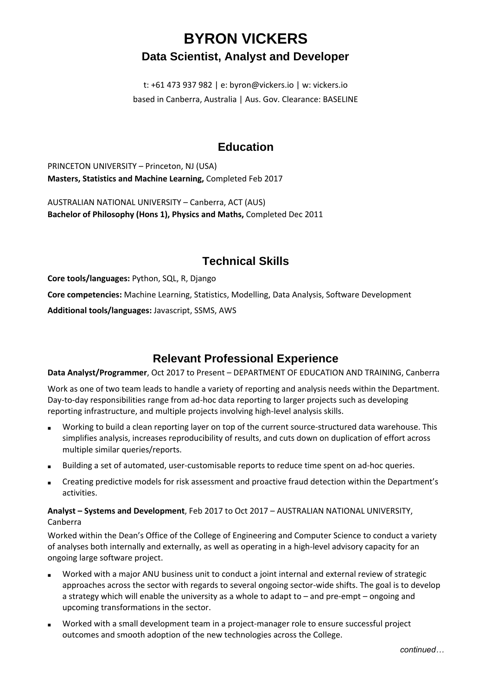# **BYRON VICKERS Data Scientist, Analyst and Developer**

t: +61 473 937 982 | e: byron@vickers.io | w: vickers.io based in Canberra, Australia | Aus. Gov. Clearance: BASELINE

### **Education**

PRINCETON UNIVERSITY – Princeton, NJ (USA) **Masters, Statistics and Machine Learning,** Completed Feb 2017

AUSTRALIAN NATIONAL UNIVERSITY – Canberra, ACT (AUS) **Bachelor of Philosophy (Hons 1), Physics and Maths,** Completed Dec 2011

## **Technical Skills**

**Core tools/languages:** Python, SQL, R, Django

**Core competencies:** Machine Learning, Statistics, Modelling, Data Analysis, Software Development

**Additional tools/languages:** Javascript, SSMS, AWS

### **Relevant Professional Experience**

**Data Analyst/Programmer**, Oct 2017 to Present – DEPARTMENT OF EDUCATION AND TRAINING, Canberra

Work as one of two team leads to handle a variety of reporting and analysis needs within the Department. Day-to-day responsibilities range from ad-hoc data reporting to larger projects such as developing reporting infrastructure, and multiple projects involving high-level analysis skills.

- Working to build a clean reporting layer on top of the current source-structured data warehouse. This simplifies analysis, increases reproducibility of results, and cuts down on duplication of effort across multiple similar queries/reports.
- Building a set of automated, user-customisable reports to reduce time spent on ad-hoc queries.
- Creating predictive models for risk assessment and proactive fraud detection within the Department's activities.

**Analyst – Systems and Development**, Feb 2017 to Oct 2017 – AUSTRALIAN NATIONAL UNIVERSITY, Canberra

Worked within the Dean's Office of the College of Engineering and Computer Science to conduct a variety of analyses both internally and externally, as well as operating in a high-level advisory capacity for an ongoing large software project.

- Worked with a major ANU business unit to conduct a joint internal and external review of strategic approaches across the sector with regards to several ongoing sector-wide shifts. The goal is to develop a strategy which will enable the university as a whole to adapt to – and pre-empt – ongoing and upcoming transformations in the sector.
- Worked with a small development team in a project-manager role to ensure successful project outcomes and smooth adoption of the new technologies across the College.